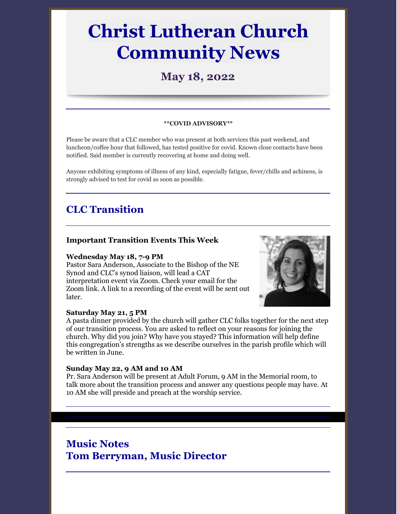# **Christ Lutheran Church Community News**

## **May 18, 2022**

#### **\*\*COVID ADVISORY\*\***

Please be aware that a CLC member who was present at both services this past weekend, and luncheon/coffee hour that followed, has tested positive for covid. Known close contacts have been notified. Said member is currently recovering at home and doing well.

Anyone exhibiting symptoms of illness of any kind, especially fatigue, fever/chills and achiness, is strongly advised to test for covid as soon as possible.

### **CLC Transition**

### **Important Transition Events This Week**

#### **Wednesday May 18, 7-9 PM**

Pastor Sara Anderson, Associate to the Bishop of the NE Synod and CLC's synod liaison, will lead a CAT interpretation event via Zoom. Check your email for the Zoom link. A link to a recording of the event will be sent out later.



#### **Saturday May 21, 5 PM**

A pasta dinner provided by the church will gather CLC folks together for the next step of our transition process. You are asked to reflect on your reasons for joining the church. Why did you join? Why have you stayed? This information will help define this congregation's strengths as we describe ourselves in the parish profile which will be written in June.

#### **Sunday May 22, 9 AM and 10 AM**

Pr. Sara Anderson will be present at Adult Forum, 9 AM in the Memorial room, to talk more about the transition process and answer any questions people may have. At 10 AM she will preside and preach at the worship service.

### **Music Notes Tom Berryman, Music Director**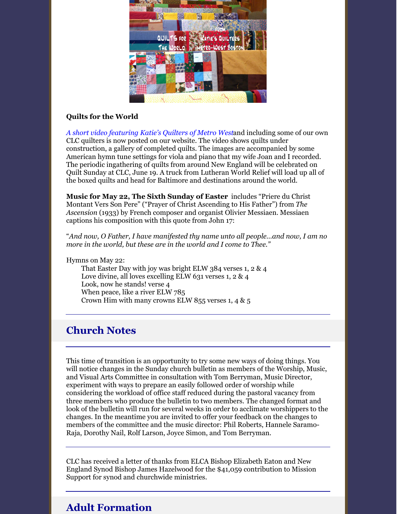

### **Quilts for the World**

*A short video [featuring](https://youtu.be/ruzYj5n70I0) Katie's Quilters of Metro West*and including some of our own CLC quilters is now posted on our website. The video shows quilts under construction, a gallery of completed quilts. The images are accompanied by some American hymn tune settings for viola and piano that my wife Joan and I recorded. The periodic ingathering of quilts from around New England will be celebrated on Quilt Sunday at CLC, June 19. A truck from Lutheran World Relief will load up all of the boxed quilts and head for Baltimore and destinations around the world.

**Music for May 22, The Sixth Sunday of Easter** includes "Priere du Christ Montant Vers Son Pere" ("Prayer of Christ Ascending to His Father") from *The Ascension* (1933) by French composer and organist Olivier Messiaen. Messiaen captions his composition with this quote from John 17:

"*And now, O Father, I have manifested thy name unto all people…and now, I am no more in the world, but these are in the world and I come to Thee."*

Hymns on May 22:

That Easter Day with joy was bright ELW 384 verses 1, 2 & 4 Love divine, all loves excelling ELW 631 verses 1, 2 & 4 Look, now he stands! verse 4 When peace, like a river ELW 785 Crown Him with many crowns ELW 855 verses 1, 4  $\&$  5

### **Church Notes**

This time of transition is an opportunity to try some new ways of doing things. You will notice changes in the Sunday church bulletin as members of the Worship, Music, and Visual Arts Committee in consultation with Tom Berryman, Music Director, experiment with ways to prepare an easily followed order of worship while considering the workload of office staff reduced during the pastoral vacancy from three members who produce the bulletin to two members. The changed format and look of the bulletin will run for several weeks in order to acclimate worshippers to the changes. In the meantime you are invited to offer your feedback on the changes to members of the committee and the music director: Phil Roberts, Hannele Saramo-Raja, Dorothy Nail, Rolf Larson, Joyce Simon, and Tom Berryman.

CLC has received a letter of thanks from ELCA Bishop Elizabeth Eaton and New England Synod Bishop James Hazelwood for the \$41,059 contribution to Mission Support for synod and churchwide ministries.

### **Adult Formation**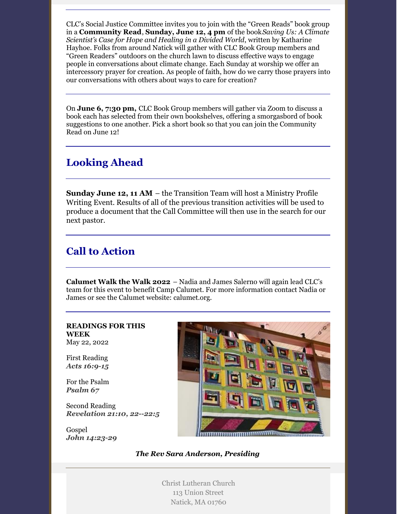CLC's Social Justice Committee invites you to join with the "Green Reads" book group in a **Community Read**, **Sunday, June 12, 4 pm** of the book*Saving Us: A Climate Scientist's Case for Hope and Healing in a Divided World*, written by Katharine Hayhoe. Folks from around Natick will gather with CLC Book Group members and "Green Readers" outdoors on the church lawn to discuss effective ways to engage people in conversations about climate change. Each Sunday at worship we offer an intercessory prayer for creation. As people of faith, how do we carry those prayers into our conversations with others about ways to care for creation?

On **June 6, 7:30 pm,** CLC Book Group members will gather via Zoom to discuss a book each has selected from their own bookshelves, offering a smorgasbord of book suggestions to one another. Pick a short book so that you can join the Community Read on June 12!

### **Looking Ahead**

**Sunday June 12, 11 AM** – the Transition Team will host a Ministry Profile Writing Event. Results of all of the previous transition activities will be used to produce a document that the Call Committee will then use in the search for our next pastor.

# **Call to Action**

**Calumet Walk the Walk 2022** – Nadia and James Salerno will again lead CLC's team for this event to benefit Camp Calumet. For more information contact Nadia or James or see the Calumet website: calumet.org.

#### **READINGS FOR THIS WEEK** May 22, 2022

First Reading *Acts [16:9-15](https://members.sundaysandseasons.com/Home/Index/2022-5-22/0#)*

For the Psalm *[Psalm](https://members.sundaysandseasons.com/Home/Index/2022-5-22/0#) 67*

Second Reading *[Revelation](https://members.sundaysandseasons.com/Home/Index/2022-5-22/0#) 21:10, 22--22:5*

Gospel *John [14:23-29](https://members.sundaysandseasons.com/Home/Index/2022-5-22/0#)*



*The Rev Sara Anderson, Presiding*

Christ Lutheran Church 113 Union Street Natick, MA 01760